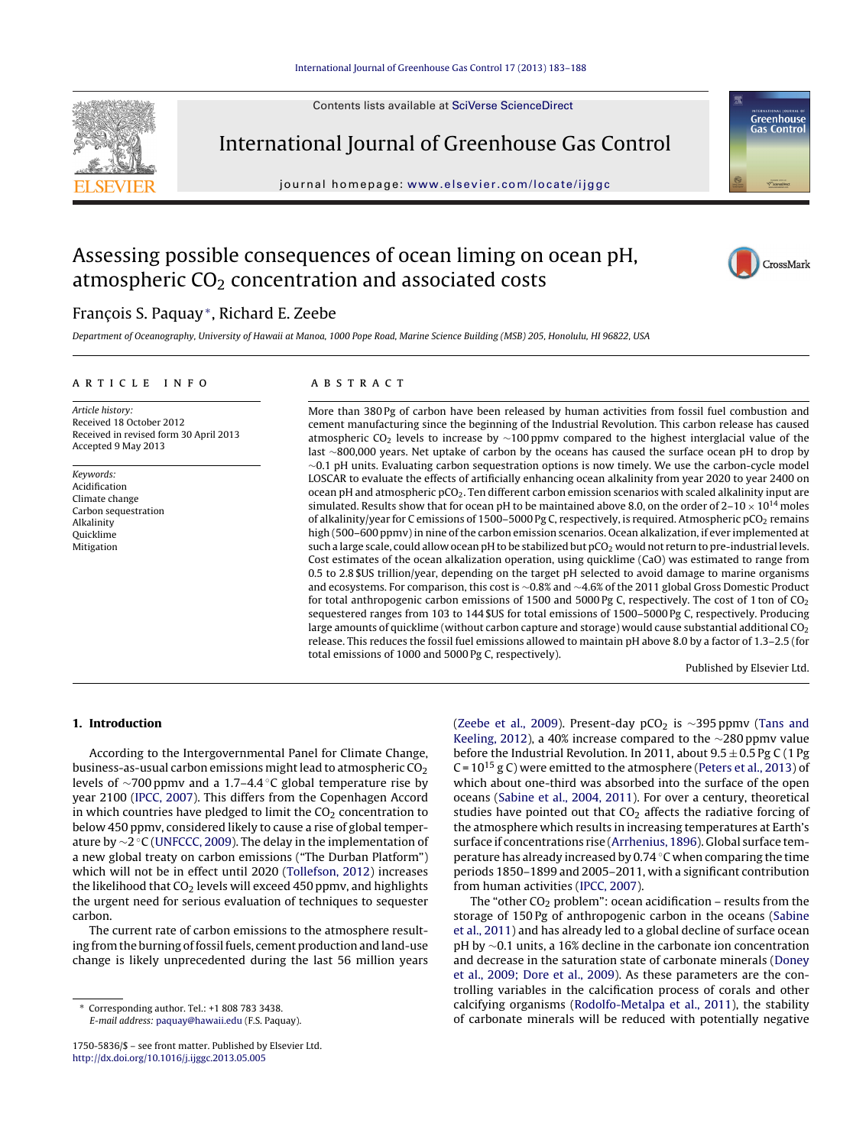Contents lists available at SciVerse [ScienceDirect](http://www.sciencedirect.com/science/journal/17505836)



International Journal of Greenhouse Gas Control

journal homepage: [www.elsevier.com/locate/ijggc](http://www.elsevier.com/locate/ijggc)



# Assessing possible consequences of ocean liming on ocean pH, atmospheric  $CO<sub>2</sub>$  concentration and associated costs



## François S. Paquay<sup>∗</sup>, Richard E. Zeebe

Department of Oceanography, University of Hawaii at Manoa, 1000 Pope Road, Marine Science Building (MSB) 205, Honolulu, HI 96822, USA

#### ARTICLE INFO

Article history: Received 18 October 2012 Received in revised form 30 April 2013 Accepted 9 May 2013

Keywords: Acidification Climate change Carbon sequestration Alkalinity Quicklime Mitigation

### A B S T R A C T

More than 380 Pg of carbon have been released by human activities from fossil fuel combustion and cement manufacturing since the beginning of the Industrial Revolution. This carbon release has caused atmospheric CO<sub>2</sub> levels to increase by  $\sim$ 100 ppmv compared to the highest interglacial value of the last ∼800,000 years. Net uptake of carbon by the oceans has caused the surface ocean pH to drop by ∼0.1 pH units. Evaluating carbon sequestration options is now timely. We use the carbon-cycle model LOSCAR to evaluate the effects of artificially enhancing ocean alkalinity from year 2020 to year 2400 on ocean pH and atmospheric  $pCO<sub>2</sub>$ . Ten different carbon emission scenarios with scaled alkalinity input are simulated. Results show that for ocean pH to be maintained above 8.0, on the order of  $2-10 \times 10^{14}$  moles of alkalinity/year for C emissions of 1500–5000 Pg C, respectively, is required. Atmospheric pCO<sub>2</sub> remains high (500–600 ppmv) in nine of the carbon emission scenarios. Ocean alkalization, if ever implemented at such a large scale, could allow ocean pH to be stabilized but pCO<sub>2</sub> would not return to pre-industrial levels. Cost estimates of the ocean alkalization operation, using quicklime (CaO) was estimated to range from 0.5 to 2.8 \$US trillion/year, depending on the target pH selected to avoid damage to marine organisms and ecosystems. For comparison, this cost is ∼0.8% and ∼4.6% of the 2011 global Gross Domestic Product for total anthropogenic carbon emissions of 1500 and 5000 Pg C, respectively. The cost of 1 ton of CO<sub>2</sub> sequestered ranges from 103 to 144 \$US for total emissions of 1500–5000 Pg C, respectively. Producing large amounts of quicklime (without carbon capture and storage) would cause substantial additional CO<sub>2</sub> release. This reduces the fossil fuel emissions allowed to maintain pH above 8.0 by a factor of 1.3–2.5 (for total emissions of 1000 and 5000 Pg C, respectively).

Published by Elsevier Ltd.

#### **1. Introduction**

According to the Intergovernmental Panel for Climate Change, business-as-usual carbon emissions might lead to atmospheric  $CO<sub>2</sub>$ levels of ∼700 ppmv and a 1.7–4.4 ◦C global temperature rise by year 2100 [\(IPCC,](#page-5-0) [2007\).](#page-5-0) This differs from the Copenhagen Accord in which countries have pledged to limit the  $CO<sub>2</sub>$  concentration to below 450 ppmv, considered likely to cause a rise of global temperature by ∼2 ◦C [\(UNFCCC,](#page-5-0) [2009\).](#page-5-0) The delay in the implementation of a new global treaty on carbon emissions ("The Durban Platform") which will not be in effect until 2020 [\(Tollefson,](#page-5-0) [2012\)](#page-5-0) increases the likelihood that  $CO<sub>2</sub>$  levels will exceed 450 ppmv, and highlights the urgent need for serious evaluation of techniques to sequester carbon.

The current rate of carbon emissions to the atmosphere resulting from the burning of fossil fuels, cement production and land-use change is likely unprecedented during the last 56 million years

∗ Corresponding author. Tel.: +1 808 783 3438. E-mail address: [paquay@hawaii.edu](mailto:paquay@hawaii.edu) (F.S. Paquay).

1750-5836/\$ – see front matter. Published by Elsevier Ltd. [http://dx.doi.org/10.1016/j.ijggc.2013.05.005](dx.doi.org/10.1016/j.ijggc.2013.05.005)

[\(Zeebe](#page-5-0) et [al.,](#page-5-0) [2009\).](#page-5-0) Present-day pCO<sub>2</sub> is  $\sim$ 395 ppmv [\(Tans](#page-5-0) [and](#page-5-0) [Keeling,](#page-5-0) [2012\),](#page-5-0) a 40% increase compared to the ∼280 ppmv value before the Industrial Revolution. In 2011, about  $9.5 \pm 0.5$  Pg C (1 Pg C =  $10^{15}$  g C) were emitted to the atmosphere ([Peters](#page-5-0) et [al.,](#page-5-0) [2013\)](#page-5-0) of which about one-third was absorbed into the surface of the open oceans [\(Sabine](#page-5-0) et [al.,](#page-5-0) [2004,](#page-5-0) [2011\).](#page-5-0) For over a century, theoretical studies have pointed out that  $CO<sub>2</sub>$  affects the radiative forcing of the atmosphere which results in increasing temperatures at Earth's surface if concentrations rise ([Arrhenius,](#page-5-0) [1896\).](#page-5-0) Global surface temperature has already increased by 0.74 ◦C when comparing the time periods 1850–1899 and 2005–2011, with a significant contribution from human activities ([IPCC,](#page-5-0) [2007\).](#page-5-0)

The "other  $CO<sub>2</sub>$  problem": ocean acidification – results from the storage of 150 Pg of anthropogenic carbon in the oceans [\(Sabine](#page-5-0) et [al.,](#page-5-0) [2011\)](#page-5-0) and has already led to a global decline of surface ocean pH by ∼0.1 units, a 16% decline in the carbonate ion concentration and decrease in the saturation state of carbonate minerals [\(Doney](#page-5-0) et [al.,](#page-5-0) [2009;](#page-5-0) [Dore](#page-5-0) et [al.,](#page-5-0) [2009\).](#page-5-0) As these parameters are the controlling variables in the calcification process of corals and other calcifying organisms ([Rodolfo-Metalpa](#page-5-0) et [al.,](#page-5-0) [2011\),](#page-5-0) the stability of carbonate minerals will be reduced with potentially negative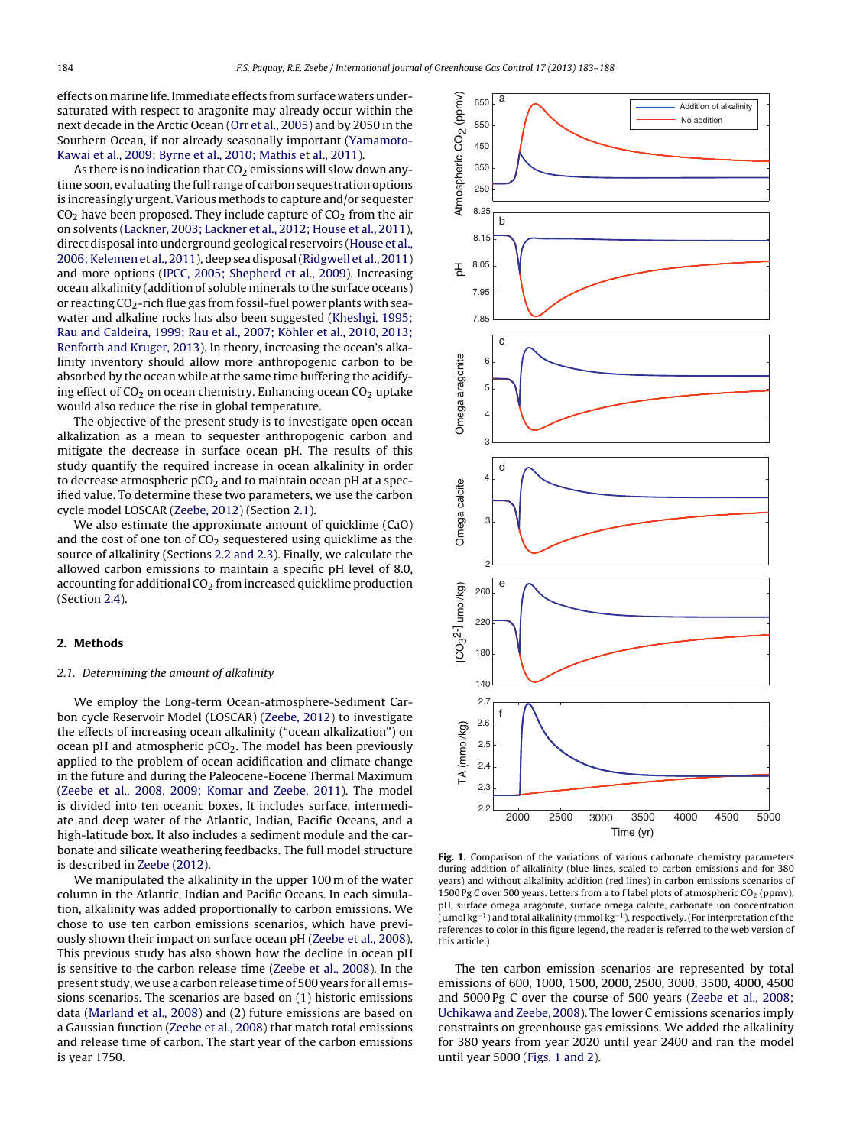effects on marine life. Immediate effects from surface waters undersaturated with respect to aragonite may already occur within the next decade in the Arctic Ocean ([Orr](#page-5-0) et [al.,](#page-5-0) [2005\)](#page-5-0) and by 2050 in the Southern Ocean, if not already seasonally important [\(Yamamoto-](#page-5-0)Kawai et [al.,](#page-5-0) [2009;](#page-5-0) [Byrne](#page-5-0) et [al.,](#page-5-0) [2010;](#page-5-0) [Mathis](#page-5-0) et [al.,](#page-5-0) [2011\).](#page-5-0)

As there is no indication that  $CO<sub>2</sub>$  emissions will slow down anytime soon, evaluating the full range of carbon sequestration options is increasingly urgent.Various methods to capture and/or sequester  $CO<sub>2</sub>$  have been proposed. They include capture of  $CO<sub>2</sub>$  from the air on solvents [\(Lackner,](#page-5-0) [2003;](#page-5-0) [Lackner](#page-5-0) et [al.,](#page-5-0) [2012;](#page-5-0) [House](#page-5-0) et [al.,](#page-5-0) [2011\),](#page-5-0) direct disposal into underground geological reservoirs ([House](#page-5-0) et [al.,](#page-5-0) [2006;Kelemen](#page-5-0) et [al.,](#page-5-0) [2011\),](#page-5-0) deep sea disposal([Ridgwell](#page-5-0) et [al.,](#page-5-0) [2011\)](#page-5-0) and more options ([IPCC,](#page-5-0) [2005;](#page-5-0) [Shepherd](#page-5-0) et [al.,](#page-5-0) [2009\).](#page-5-0) Increasing ocean alkalinity (addition of soluble minerals to the surface oceans) or reacting  $CO_2$ -rich flue gas from fossil-fuel power plants with seawater and alkaline rocks has also been suggested [\(Kheshgi,](#page-5-0) [1995;](#page-5-0) [Rau](#page-5-0) [and](#page-5-0) [Caldeira,](#page-5-0) [1999;](#page-5-0) [Rau](#page-5-0) et [al.,](#page-5-0) [2007;](#page-5-0) [Köhler](#page-5-0) et [al.,](#page-5-0) [2010,](#page-5-0) [2013;](#page-5-0) [Renforth](#page-5-0) [and](#page-5-0) [Kruger,](#page-5-0) [2013\).](#page-5-0) In theory, increasing the ocean's alkalinity inventory should allow more anthropogenic carbon to be absorbed by the ocean while at the same time buffering the acidifying effect of  $CO<sub>2</sub>$  on ocean chemistry. Enhancing ocean  $CO<sub>2</sub>$  uptake would also reduce the rise in global temperature.

The objective of the present study is to investigate open ocean alkalization as a mean to sequester anthropogenic carbon and mitigate the decrease in surface ocean pH. The results of this study quantify the required increase in ocean alkalinity in order to decrease atmospheric  $pCO<sub>2</sub>$  and to maintain ocean pH at a specified value. To determine these two parameters, we use the carbon cycle model LOSCAR ([Zeebe,](#page-5-0) [2012\)](#page-5-0) (Section 2.1).

We also estimate the approximate amount of quicklime (CaO) and the cost of one ton of  $CO<sub>2</sub>$  sequestered using quicklime as the source of alkalinity (Sections [2.2](#page-2-0) [and](#page-2-0) [2.3\).](#page-2-0) Finally, we calculate the allowed carbon emissions to maintain a specific pH level of 8.0, accounting for additional  $CO<sub>2</sub>$  from increased quicklime production (Section [2.4\).](#page-4-0)

#### **2. Methods**

#### 2.1. Determining the amount of alkalinity

We employ the Long-term Ocean-atmosphere-Sediment Carbon cycle Reservoir Model (LOSCAR) ([Zeebe,](#page-5-0) [2012\)](#page-5-0) to investigate the effects of increasing ocean alkalinity ("ocean alkalization") on ocean pH and atmospheric  $pCO<sub>2</sub>$ . The model has been previously applied to the problem of ocean acidification and climate change in the future and during the Paleocene-Eocene Thermal Maximum ([Zeebe](#page-5-0) et [al.,](#page-5-0) [2008,](#page-5-0) [2009;](#page-5-0) [Komar](#page-5-0) [and](#page-5-0) [Zeebe,](#page-5-0) [2011\).](#page-5-0) The model is divided into ten oceanic boxes. It includes surface, intermediate and deep water of the Atlantic, Indian, Pacific Oceans, and a high-latitude box. It also includes a sediment module and the carbonate and silicate weathering feedbacks. The full model structure is described in [Zeebe](#page-5-0) [\(2012\).](#page-5-0)

We manipulated the alkalinity in the upper 100 m of the water column in the Atlantic, Indian and Pacific Oceans. In each simulation, alkalinity was added proportionally to carbon emissions. We chose to use ten carbon emissions scenarios, which have previously shown their impact on surface ocean pH ([Zeebe](#page-5-0) et [al.,](#page-5-0) [2008\).](#page-5-0) This previous study has also shown how the decline in ocean pH is sensitive to the carbon release time ([Zeebe](#page-5-0) et [al.,](#page-5-0) [2008\).](#page-5-0) In the present study, we use a carbon release time of 500 years for all emissions scenarios. The scenarios are based on (1) historic emissions data [\(Marland](#page-5-0) et [al.,](#page-5-0) [2008\)](#page-5-0) and (2) future emissions are based on a Gaussian function ([Zeebe](#page-5-0) et [al.,](#page-5-0) [2008\)](#page-5-0) that match total emissions and release time of carbon. The start year of the carbon emissions is year 1750.



**Fig. 1.** Comparison of the variations of various carbonate chemistry parameters during addition of alkalinity (blue lines, scaled to carbon emissions and for 380 years) and without alkalinity addition (red lines) in carbon emissions scenarios of 1500 Pg C over 500 years. Letters from a to f label plots of atmospheric  $CO<sub>2</sub>$  (ppmv), pH, surface omega aragonite, surface omega calcite, carbonate ion concentration  $(\mu$ mol kg<sup>-1</sup>) and total alkalinity (mmol kg<sup>-1</sup>), respectively. (For interpretation of the references to color in this figure legend, the reader is referred to the web version of this article.)

The ten carbon emission scenarios are represented by total emissions of 600, 1000, 1500, 2000, 2500, 3000, 3500, 4000, 4500 and 5000 Pg C over the course of 500 years [\(Zeebe](#page-5-0) et [al.,](#page-5-0) [2008;](#page-5-0) [Uchikawa](#page-5-0) [and](#page-5-0) [Zeebe,](#page-5-0) [2008\).](#page-5-0) The lower C emissions scenarios imply constraints on greenhouse gas emissions. We added the alkalinity for 380 years from year 2020 until year 2400 and ran the model until year 5000 (Figs. 1 and 2).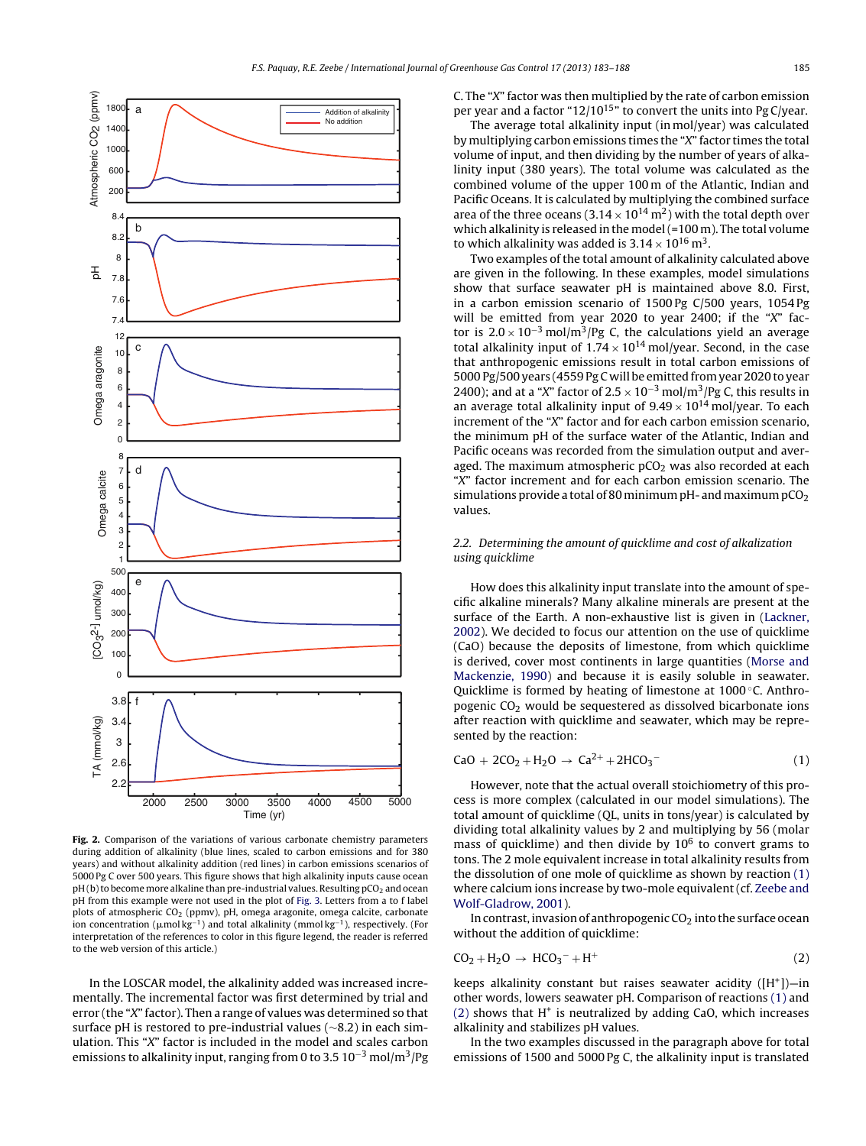<span id="page-2-0"></span>

**Fig. 2.** Comparison of the variations of various carbonate chemistry parameters during addition of alkalinity (blue lines, scaled to carbon emissions and for 380 years) and without alkalinity addition (red lines) in carbon emissions scenarios of 5000 Pg C over 500 years. This figure shows that high alkalinity inputs cause ocean  $pH(b)$  to become more alkaline than pre-industrial values. Resulting  $pCO<sub>2</sub>$  and ocean pH from this example were not used in the plot of [Fig.](#page-3-0) 3. Letters from a to f label plots of atmospheric CO<sub>2</sub> (ppmv), pH, omega aragonite, omega calcite, carbonate ion concentration ( $\mu$ mol $\text{kg}^{-1}$ ) and total alkalinity (mmol $\text{kg}^{-1}$ ), respectively. (For interpretation of the references to color in this figure legend, the reader is referred to the web version of this article.)

In the LOSCAR model, the alkalinity added was increased incrementally. The incremental factor was first determined by trial and error (the "X" factor). Then a range of values was determined so that surface pH is restored to pre-industrial values (∼8.2) in each simulation. This "X" factor is included in the model and scales carbon emissions to alkalinity input, ranging from 0 to 3.5  $10^{-3}$  mol/m<sup>3</sup>/Pg C. The "X" factor was then multiplied by the rate of carbon emission per year and a factor " $12/10^{15}$ " to convert the units into Pg C/year.

The average total alkalinity input (in mol/year) was calculated by multiplying carbon emissions times the "X" factor times the total volume of input, and then dividing by the number of years of alkalinity input (380 years). The total volume was calculated as the combined volume of the upper 100 m of the Atlantic, Indian and Pacific Oceans. It is calculated by multiplying the combined surface area of the three oceans (3.14  $\times$  10<sup>14</sup> m<sup>2</sup>) with the total depth over which alkalinity is released in the model (=100 m). The total volume to which alkalinity was added is  $3.14 \times 10^{16}$  m<sup>3</sup>.

Two examples of the total amount of alkalinity calculated above are given in the following. In these examples, model simulations show that surface seawater pH is maintained above 8.0. First, in a carbon emission scenario of 1500 Pg C/500 years, 1054 Pg will be emitted from year 2020 to year 2400; if the "X" factor is  $2.0 \times 10^{-3}$  mol/m<sup>3</sup>/Pg C, the calculations yield an average total alkalinity input of  $1.74 \times 10^{14}$  mol/year. Second, in the case that anthropogenic emissions result in total carbon emissions of 5000 Pg/500 years (4559 Pg C will be emitted from year 2020 to year 2400); and at a "X" factor of  $2.5 \times 10^{-3}$  mol/m<sup>3</sup>/Pg C, this results in an average total alkalinity input of  $9.49 \times 10^{14}$  mol/year. To each increment of the "X" factor and for each carbon emission scenario, the minimum pH of the surface water of the Atlantic, Indian and Pacific oceans was recorded from the simulation output and averaged. The maximum atmospheric  $pCO<sub>2</sub>$  was also recorded at each "X" factor increment and for each carbon emission scenario. The simulations provide a total of 80 minimum pH- and maximum  $pCO<sub>2</sub>$ values.

#### 2.2. Determining the amount of quicklime and cost of alkalization using quicklime

How does this alkalinity input translate into the amount of specific alkaline minerals? Many alkaline minerals are present at the surface of the Earth. A non-exhaustive list is given in [\(Lackner,](#page-5-0) [2002\).](#page-5-0) We decided to focus our attention on the use of quicklime (CaO) because the deposits of limestone, from which quicklime is derived, cover most continents in large quantities ([Morse](#page-5-0) [and](#page-5-0) [Mackenzie,](#page-5-0) [1990\)](#page-5-0) and because it is easily soluble in seawater. Quicklime is formed by heating of limestone at 1000 °C. Anthropogenic  $CO<sub>2</sub>$  would be sequestered as dissolved bicarbonate ions after reaction with quicklime and seawater, which may be represented by the reaction:

$$
CaO + 2CO2 + H2O \rightarrow Ca2+ + 2HCO3
$$
 (1)

However, note that the actual overall stoichiometry of this process is more complex (calculated in our model simulations). The total amount of quicklime (QL, units in tons/year) is calculated by dividing total alkalinity values by 2 and multiplying by 56 (molar mass of quicklime) and then divide by  $10^6$  to convert grams to tons. The 2 mole equivalent increase in total alkalinity results from the dissolution of one mole of quicklime as shown by reaction (1) where calcium ions increase by two-mole equivalent (cf. [Zeebe](#page-5-0) [and](#page-5-0) [Wolf-Gladrow,](#page-5-0) [2001\).](#page-5-0)

In contrast, invasion of anthropogenic  $CO<sub>2</sub>$  into the surface ocean without the addition of quicklime:

$$
CO2 + H2O \rightarrow HCO3- + H+
$$
 (2)

keeps alkalinity constant but raises seawater acidity  $([H^+])-in$ other words, lowers seawater pH. Comparison of reactions (1) and  $(2)$  shows that H<sup>+</sup> is neutralized by adding CaO, which increases alkalinity and stabilizes pH values.

In the two examples discussed in the paragraph above for total emissions of 1500 and 5000 Pg C, the alkalinity input is translated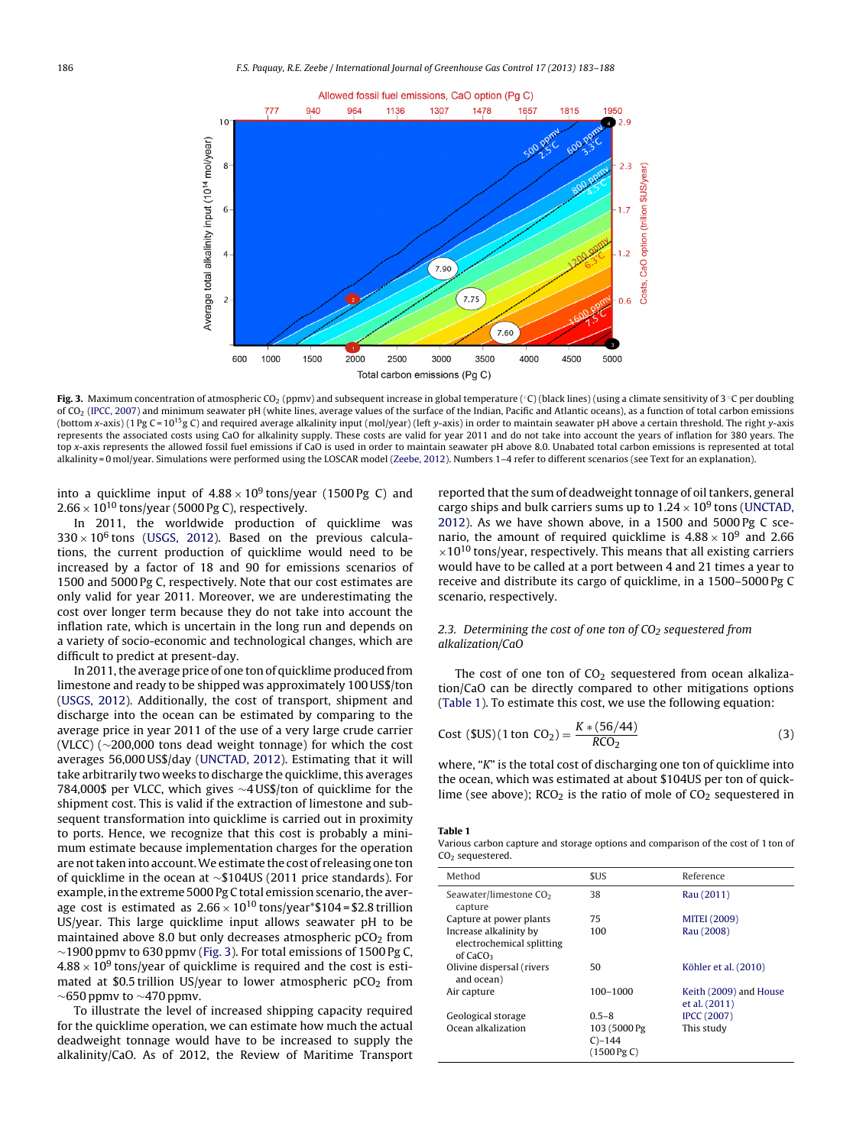<span id="page-3-0"></span>

**Fig. 3.** Maximum concentration of atmospheric CO<sub>2</sub> (ppmv) and subsequent increase in global temperature (°C) (black lines) (using a climate sensitivity of 3 ℃ per doubling of CO<sub>2</sub> ([IPCC,](#page-5-0) [2007\)](#page-5-0) and minimum seawater pH (white lines, average values of the surface of the Indian, Pacific and Atlantic oceans), as a function of total carbon emissions (bottom x-axis) (1 Pg C = 10<sup>15</sup>g C) and required average alkalinity input (mol/year) (left y-axis) in order to maintain seawater pH above a certain threshold. The right y-axis represents the associated costs using CaO for alkalinity supply. These costs are valid for year 2011 and do not take into account the years of inflation for 380 years. The top x-axis represents the allowed fossil fuel emissions if CaO is used in order to maintain seawater pH above 8.0. Unabated total carbon emissions is represented at total alkalinity = 0 mol/year. Simulations were performed using the LOSCAR model ([Zeebe,](#page-5-0) [2012\).](#page-5-0) Numbers 1–4 refer to different scenarios (see Text for an explanation).

into a quicklime input of  $4.88 \times 10^9$  tons/year (1500 Pg C) and  $2.66 \times 10^{10}$  tons/year (5000 Pg C), respectively.

In 2011, the worldwide production of quicklime was  $330 \times 10^6$  tons [\(USGS,](#page-5-0) [2012\).](#page-5-0) Based on the previous calculations, the current production of quicklime would need to be increased by a factor of 18 and 90 for emissions scenarios of 1500 and 5000 Pg C, respectively. Note that our cost estimates are only valid for year 2011. Moreover, we are underestimating the cost over longer term because they do not take into account the inflation rate, which is uncertain in the long run and depends on a variety of socio-economic and technological changes, which are difficult to predict at present-day.

In 2011, the average price of one ton of quicklime produced from limestone and ready to be shipped was approximately 100 US\$/ton ([USGS,](#page-5-0) [2012\).](#page-5-0) Additionally, the cost of transport, shipment and discharge into the ocean can be estimated by comparing to the average price in year 2011 of the use of a very large crude carrier (VLCC) (∼200,000 tons dead weight tonnage) for which the cost averages 56,000 US\$/day ([UNCTAD,](#page-5-0) [2012\).](#page-5-0) Estimating that it will take arbitrarily two weeks to discharge the quicklime, this averages 784,000\$ per VLCC, which gives ∼4 US\$/ton of quicklime for the shipment cost. This is valid if the extraction of limestone and subsequent transformation into quicklime is carried out in proximity to ports. Hence, we recognize that this cost is probably a minimum estimate because implementation charges for the operation are not taken into account. We estimate the cost of releasing one ton of quicklime in the ocean at ∼\$104US (2011 price standards). For example, in the extreme 5000 Pg C total emission scenario, the average cost is estimated as  $2.66 \times 10^{10}$  tons/year\*\$104 = \$2.8 trillion US/year. This large quicklime input allows seawater pH to be maintained above 8.0 but only decreases atmospheric  $pCO<sub>2</sub>$  from ∼1900 ppmv to 630 ppmv (Fig. 3). For total emissions of 1500 Pg C,  $4.88 \times 10^9$  tons/year of quicklime is required and the cost is estimated at \$0.5 trillion US/year to lower atmospheric  $pCO<sub>2</sub>$  from  $\sim$ 650 ppmv to  $\sim$ 470 ppmv.

To illustrate the level of increased shipping capacity required for the quicklime operation, we can estimate how much the actual deadweight tonnage would have to be increased to supply the alkalinity/CaO. As of 2012, the Review of Maritime Transport reported that the sum of deadweight tonnage of oil tankers, general cargo ships and bulk carriers sums up to  $1.24 \times 10^9$  tons ([UNCTAD,](#page-5-0) [2012\).](#page-5-0) As we have shown above, in a 1500 and 5000 Pg C scenario, the amount of required quicklime is  $4.88 \times 10^9$  and 2.66  $\times$ 10<sup>10</sup> tons/year, respectively. This means that all existing carriers would have to be called at a port between 4 and 21 times a year to receive and distribute its cargo of quicklime, in a 1500–5000 Pg C scenario, respectively.

#### 2.3. Determining the cost of one ton of  $CO<sub>2</sub>$  sequestered from alkalization/CaO

The cost of one ton of  $CO<sub>2</sub>$  sequestered from ocean alkalization/CaO can be directly compared to other mitigations options (Table 1). To estimate this cost, we use the following equation:

Cost (SUS)(1 ton CO<sub>2</sub>) = 
$$
\frac{K*(56/44)}{RCO_2}
$$
 (3)

where, "K" is the total cost of discharging one ton of quicklime into the ocean, which was estimated at about \$104US per ton of quicklime (see above);  $RCO<sub>2</sub>$  is the ratio of mole of  $CO<sub>2</sub>$  sequestered in

#### **Table 1**

Various carbon capture and storage options and comparison of the cost of 1 ton of CO<sub>2</sub> sequestered.

| Method                                                                      | \$US                                                | Reference                               |
|-----------------------------------------------------------------------------|-----------------------------------------------------|-----------------------------------------|
| Seawater/limestone CO <sub>2</sub><br>capture                               | 38                                                  | Rau (2011)                              |
| Capture at power plants                                                     | 75                                                  | <b>MITEI (2009)</b>                     |
| Increase alkalinity by<br>electrochemical splitting<br>of CaCO <sub>3</sub> | 100                                                 | Rau (2008)                              |
| Olivine dispersal (rivers<br>and ocean)                                     | 50                                                  | Köhler et al. (2010)                    |
| Air capture                                                                 | 100-1000                                            | Keith (2009) and House<br>et al. (2011) |
| Geological storage                                                          | $0.5 - 8$                                           | <b>IPCC (2007)</b>                      |
| Ocean alkalization                                                          | 103 (5000 Pg)<br>$C$ –144<br>$(1500 \,\text{Pg C})$ | This study                              |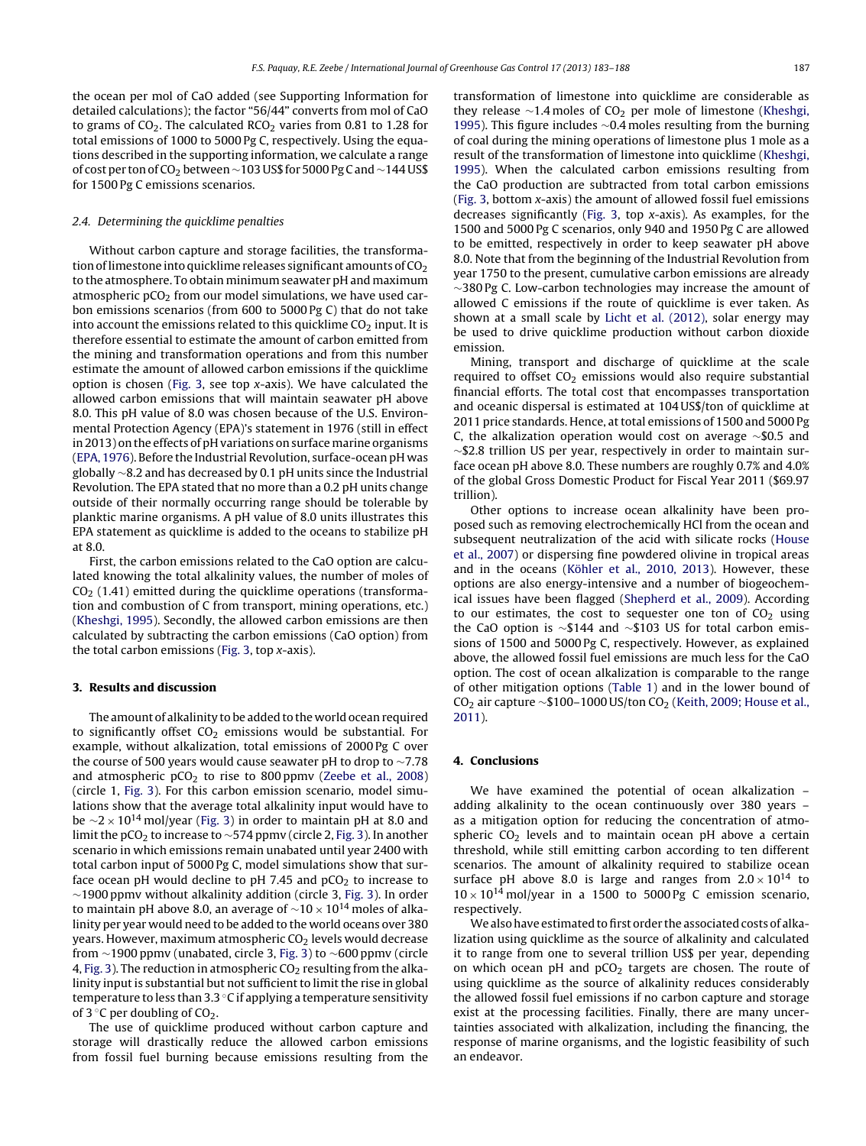<span id="page-4-0"></span>the ocean per mol of CaO added (see Supporting Information for detailed calculations); the factor "56/44" converts from mol of CaO to grams of  $CO<sub>2</sub>$ . The calculated RCO<sub>2</sub> varies from 0.81 to 1.28 for total emissions of 1000 to 5000 Pg C, respectively. Using the equations described in the supporting information, we calculate a range of costper tonofCO2 between∼103 US\$ for 5000 PgCand∼144 US\$ for 1500 Pg C emissions scenarios.

#### 2.4. Determining the quicklime penalties

Without carbon capture and storage facilities, the transformation of limestone into quicklime releases significant amounts of  $CO<sub>2</sub>$ to the atmosphere. To obtain minimum seawater pH and maximum atmospheric  $pCO<sub>2</sub>$  from our model simulations, we have used carbon emissions scenarios (from 600 to 5000 Pg C) that do not take into account the emissions related to this quicklime  $CO<sub>2</sub>$  input. It is therefore essential to estimate the amount of carbon emitted from the mining and transformation operations and from this number estimate the amount of allowed carbon emissions if the quicklime option is chosen [\(Fig.](#page-3-0) 3, see top  $x$ -axis). We have calculated the allowed carbon emissions that will maintain seawater pH above 8.0. This pH value of 8.0 was chosen because of the U.S. Environmental Protection Agency (EPA)'s statement in 1976 (still in effect in 2013) on the effects of pH variations on surface marine organisms ([EPA,](#page-5-0) [1976\).](#page-5-0) Before the Industrial Revolution, surface-ocean pH was globally ∼8.2 and has decreased by 0.1 pH units since the Industrial Revolution. The EPA stated that no more than a 0.2 pH units change outside of their normally occurring range should be tolerable by planktic marine organisms. A pH value of 8.0 units illustrates this EPA statement as quicklime is added to the oceans to stabilize pH at 8.0.

First, the carbon emissions related to the CaO option are calculated knowing the total alkalinity values, the number of moles of  $CO<sub>2</sub>$  (1.41) emitted during the quicklime operations (transformation and combustion of C from transport, mining operations, etc.) ([Kheshgi,](#page-5-0) [1995\).](#page-5-0) Secondly, the allowed carbon emissions are then calculated by subtracting the carbon emissions (CaO option) from the total carbon emissions [\(Fig.](#page-3-0) 3, top x-axis).

#### **3. Results and discussion**

The amount of alkalinity to be added to the world ocean required to significantly offset  $CO<sub>2</sub>$  emissions would be substantial. For example, without alkalization, total emissions of 2000 Pg C over the course of 500 years would cause seawater pH to drop to ∼7.78 and atmospheric  $pCO<sub>2</sub>$  to rise to 800 ppmv [\(Zeebe](#page-5-0) et [al.,](#page-5-0) [2008\)](#page-5-0) (circle 1, [Fig.](#page-3-0) 3). For this carbon emission scenario, model simulations show that the average total alkalinity input would have to be  $\sim$ 2 × 10<sup>14</sup> mol/year [\(Fig.](#page-3-0) 3) in order to maintain pH at 8.0 and limit the pCO<sub>2</sub> to increase to ~574 ppmv (circle 2, [Fig.](#page-3-0) 3). In another scenario in which emissions remain unabated until year 2400 with total carbon input of 5000 Pg C, model simulations show that surface ocean pH would decline to pH 7.45 and  $pCO<sub>2</sub>$  to increase to ∼1900 ppmv without alkalinity addition (circle 3, [Fig.](#page-3-0) 3). In order to maintain pH above 8.0, an average of  $\sim$ 10 × 10<sup>14</sup> moles of alkalinity per year would need to be added to the world oceans over 380 years. However, maximum atmospheric  $CO<sub>2</sub>$  levels would decrease from ∼1900 ppmv (unabated, circle 3, [Fig.](#page-3-0) 3) to ∼600 ppmv (circle 4, [Fig.](#page-3-0) 3). The reduction in atmospheric  $CO<sub>2</sub>$  resulting from the alkalinity input is substantial but not sufficient to limit the rise in global temperature to less than 3.3 ◦C if applying a temperature sensitivity of 3  $\circ$ C per doubling of CO<sub>2</sub>.

The use of quicklime produced without carbon capture and storage will drastically reduce the allowed carbon emissions from fossil fuel burning because emissions resulting from the transformation of limestone into quicklime are considerable as they release  $\sim$ 1.4 moles of CO<sub>2</sub> per mole of limestone [\(Kheshgi,](#page-5-0) [1995\).](#page-5-0) This figure includes ∼0.4 moles resulting from the burning of coal during the mining operations of limestone plus 1 mole as a result of the transformation of limestone into quicklime [\(Kheshgi,](#page-5-0) [1995\).](#page-5-0) When the calculated carbon emissions resulting from the CaO production are subtracted from total carbon emissions [\(Fig.](#page-3-0) 3, bottom x-axis) the amount of allowed fossil fuel emissions decreases significantly ([Fig.](#page-3-0) 3, top x-axis). As examples, for the 1500 and 5000 Pg C scenarios, only 940 and 1950 Pg C are allowed to be emitted, respectively in order to keep seawater pH above 8.0. Note that from the beginning of the Industrial Revolution from year 1750 to the present, cumulative carbon emissions are already ∼380 Pg C. Low-carbon technologies may increase the amount of allowed C emissions if the route of quicklime is ever taken. As shown at a small scale by [Licht](#page-5-0) et [al.](#page-5-0) [\(2012\),](#page-5-0) solar energy may be used to drive quicklime production without carbon dioxide emission.

Mining, transport and discharge of quicklime at the scale required to offset  $CO<sub>2</sub>$  emissions would also require substantial financial efforts. The total cost that encompasses transportation and oceanic dispersal is estimated at 104 US\$/ton of quicklime at 2011 price standards. Hence, at total emissions of 1500 and 5000 Pg C, the alkalization operation would cost on average ∼\$0.5 and ∼\$2.8 trillion US per year, respectively in order to maintain surface ocean pH above 8.0. These numbers are roughly 0.7% and 4.0% of the global Gross Domestic Product for Fiscal Year 2011 (\$69.97 trillion).

Other options to increase ocean alkalinity have been proposed such as removing electrochemically HCl from the ocean and subsequent neutralization of the acid with silicate rocks ([House](#page-5-0) et [al.,](#page-5-0) [2007\)](#page-5-0) or dispersing fine powdered olivine in tropical areas and in the oceans ([Köhler](#page-5-0) et [al.,](#page-5-0) [2010,](#page-5-0) [2013\).](#page-5-0) However, these options are also energy-intensive and a number of biogeochemical issues have been flagged ([Shepherd](#page-5-0) et [al.,](#page-5-0) [2009\).](#page-5-0) According to our estimates, the cost to sequester one ton of  $CO<sub>2</sub>$  using the CaO option is ∼\$144 and ∼\$103 US for total carbon emissions of 1500 and 5000 Pg C, respectively. However, as explained above, the allowed fossil fuel emissions are much less for the CaO option. The cost of ocean alkalization is comparable to the range of other mitigation options ([Table](#page-3-0) 1) and in the lower bound of CO<sub>2</sub> air capture ~\$100–1000 US/ton CO<sub>2</sub> [\(Keith,](#page-5-0) [2009;](#page-5-0) [House](#page-5-0) et [al.,](#page-5-0) [2011\).](#page-5-0)

#### **4. Conclusions**

We have examined the potential of ocean alkalization – adding alkalinity to the ocean continuously over 380 years – as a mitigation option for reducing the concentration of atmospheric  $CO<sub>2</sub>$  levels and to maintain ocean pH above a certain threshold, while still emitting carbon according to ten different scenarios. The amount of alkalinity required to stabilize ocean surface pH above 8.0 is large and ranges from  $2.0 \times 10^{14}$  to  $10 \times 10^{14}$  mol/year in a 1500 to 5000 Pg C emission scenario, respectively.

We also have estimated to first order the associated costs of alkalization using quicklime as the source of alkalinity and calculated it to range from one to several trillion US\$ per year, depending on which ocean pH and  $pCO<sub>2</sub>$  targets are chosen. The route of using quicklime as the source of alkalinity reduces considerably the allowed fossil fuel emissions if no carbon capture and storage exist at the processing facilities. Finally, there are many uncertainties associated with alkalization, including the financing, the response of marine organisms, and the logistic feasibility of such an endeavor.